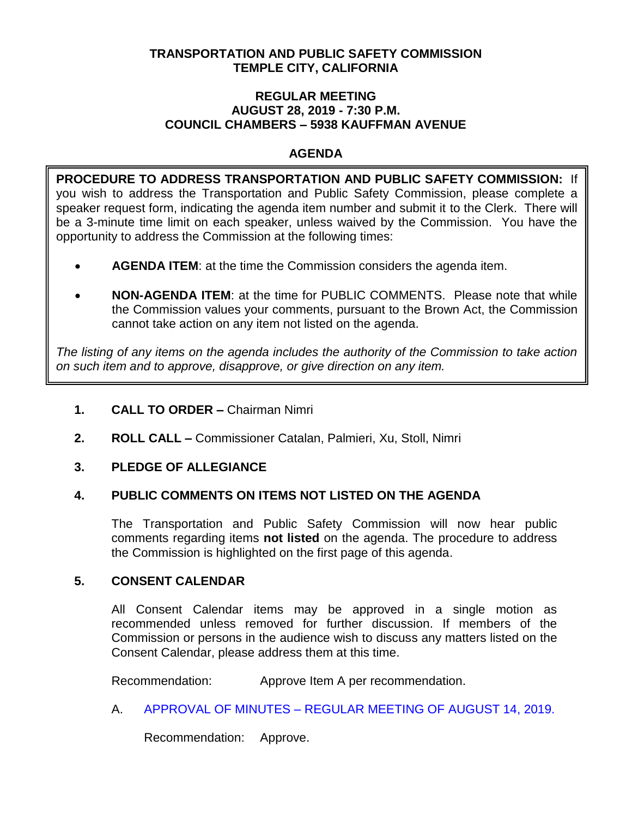## **TRANSPORTATION AND PUBLIC SAFETY COMMISSION TEMPLE CITY, CALIFORNIA**

#### **REGULAR MEETING AUGUST 28, 2019 - 7:30 P.M. COUNCIL CHAMBERS – 5938 KAUFFMAN AVENUE**

## **AGENDA**

**PROCEDURE TO ADDRESS TRANSPORTATION AND PUBLIC SAFETY COMMISSION:** If you wish to address the Transportation and Public Safety Commission, please complete a speaker request form, indicating the agenda item number and submit it to the Clerk. There will be a 3-minute time limit on each speaker, unless waived by the Commission. You have the opportunity to address the Commission at the following times:

- **AGENDA ITEM**: at the time the Commission considers the agenda item.
- **NON-AGENDA ITEM**: at the time for PUBLIC COMMENTS. Please note that while the Commission values your comments, pursuant to the Brown Act, the Commission cannot take action on any item not listed on the agenda.

*The listing of any items on the agenda includes the authority of the Commission to take action on such item and to approve, disapprove, or give direction on any item.*

- **1. CALL TO ORDER –** Chairman Nimri
- **2. ROLL CALL –** Commissioner Catalan, Palmieri, Xu, Stoll, Nimri

## **3. PLEDGE OF ALLEGIANCE**

## **4. PUBLIC COMMENTS ON ITEMS NOT LISTED ON THE AGENDA**

The Transportation and Public Safety Commission will now hear public comments regarding items **not listed** on the agenda. The procedure to address the Commission is highlighted on the first page of this agenda.

## **5. CONSENT CALENDAR**

All Consent Calendar items may be approved in a single motion as recommended unless removed for further discussion. If members of the Commission or persons in the audience wish to discuss any matters listed on the Consent Calendar, please address them at this time.

Recommendation: Approve Item A per recommendation.

A. APPROVAL OF MINUTES – [REGULAR MEETING OF AUGUST 14, 2019.](https://ca-templecity.civicplus.com/DocumentCenter/View/13035/TPSC-min-2019-08-14)

Recommendation: Approve.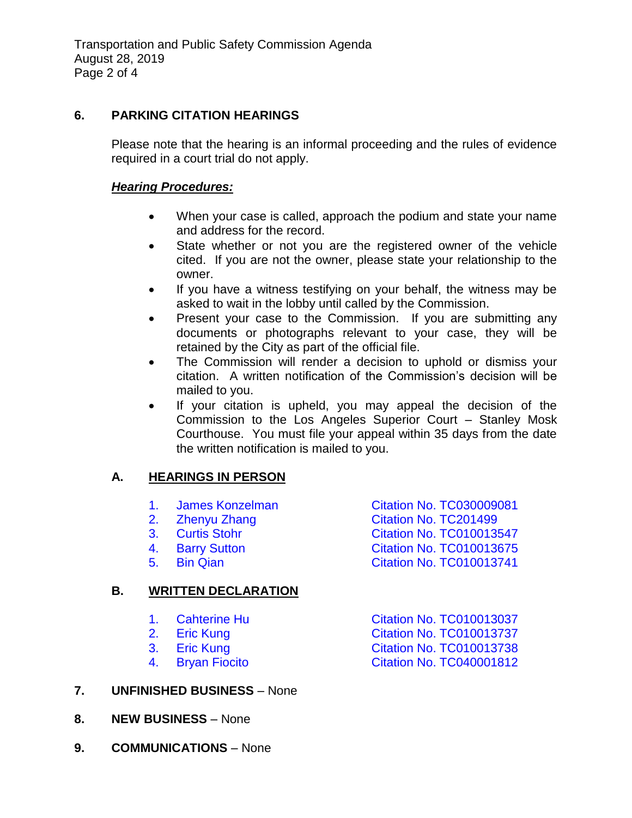## **6. PARKING CITATION HEARINGS**

Please note that the hearing is an informal proceeding and the rules of evidence required in a court trial do not apply.

### *Hearing Procedures:*

- When your case is called, approach the podium and state your name and address for the record.
- State whether or not you are the registered owner of the vehicle cited. If you are not the owner, please state your relationship to the owner.
- If you have a witness testifying on your behalf, the witness may be asked to wait in the lobby until called by the Commission.
- Present your case to the Commission. If you are submitting any documents or photographs relevant to your case, they will be retained by the City as part of the official file.
- The Commission will render a decision to uphold or dismiss your citation. A written notification of the Commission's decision will be mailed to you.
- If your citation is upheld, you may appeal the decision of the Commission to the Los Angeles Superior Court – Stanley Mosk Courthouse. You must file your appeal within 35 days from the date the written notification is mailed to you.

# **A. HEARINGS IN PERSON**

- 
- 
- 
- 
- 

# **B. WRITTEN DECLARATION**

- 
- 
- 

**7. UNFINISHED BUSINESS** – None

- 1. [James Konzelman Citation No. TC030009081](https://ca-templecity.civicplus.com/DocumentCenter/View/13026/6A1-TC030009081) 2. [Zhenyu Zhang Citation No. TC201499](https://ca-templecity.civicplus.com/DocumentCenter/View/13027/6A2-TC201499) 3. Curtis Stohr [Citation No. TC010013547](https://ca-templecity.civicplus.com/DocumentCenter/View/13028/6A3-TC010013547) 4. [Barry Sutton Citation No. TC010013675](https://ca-templecity.civicplus.com/DocumentCenter/View/13029/6A4-TC010013675) 5. [Bin Qian Citation No. TC010013741](https://ca-templecity.civicplus.com/DocumentCenter/View/13030/6A5-TC010013741)
- 1. Cahterine Hu [Citation No. TC010013037](https://ca-templecity.civicplus.com/DocumentCenter/View/13031/6B1-TC010013037) 2. [Eric Kung Citation No. TC010013737](https://ca-templecity.civicplus.com/DocumentCenter/View/13032/6B2-TC010013737) 3. [Eric Kung Citation No. TC010013738](https://ca-templecity.civicplus.com/DocumentCenter/View/13033/6B3-TC010013738) 4. [Bryan Fiocito Citation No. TC040001812](https://ca-templecity.civicplus.com/DocumentCenter/View/13034/6B4-TC040001812)
- **8. NEW BUSINESS** None
- **9. COMMUNICATIONS** None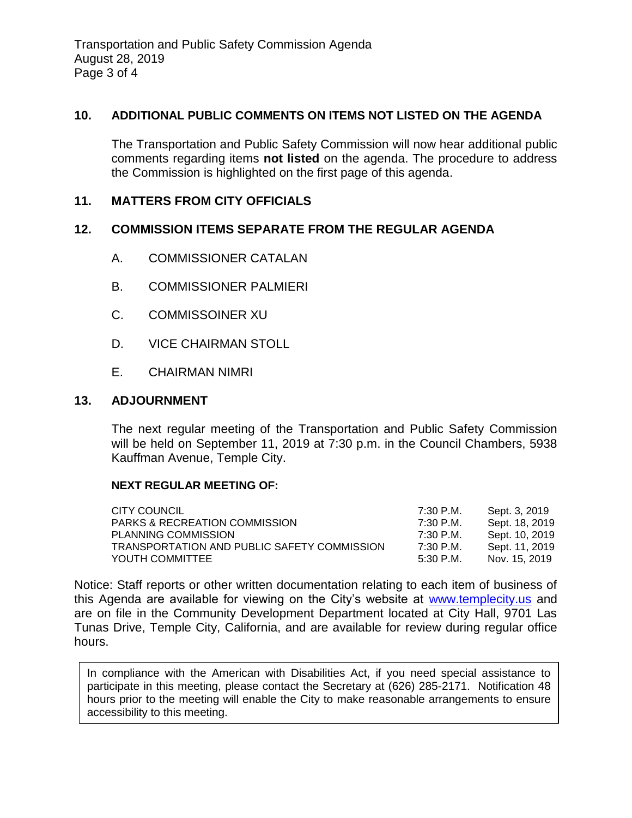## **10. ADDITIONAL PUBLIC COMMENTS ON ITEMS NOT LISTED ON THE AGENDA**

The Transportation and Public Safety Commission will now hear additional public comments regarding items **not listed** on the agenda. The procedure to address the Commission is highlighted on the first page of this agenda.

## **11. MATTERS FROM CITY OFFICIALS**

#### **12. COMMISSION ITEMS SEPARATE FROM THE REGULAR AGENDA**

- A. COMMISSIONER CATALAN
- B. COMMISSIONER PALMIERI
- C. COMMISSOINER XU
- D. VICE CHAIRMAN STOLL
- E. CHAIRMAN NIMRI

#### **13. ADJOURNMENT**

The next regular meeting of the Transportation and Public Safety Commission will be held on September 11, 2019 at 7:30 p.m. in the Council Chambers, 5938 Kauffman Avenue, Temple City.

#### **NEXT REGULAR MEETING OF:**

| CITY COUNCIL                                | 7:30 P.M.   | Sept. 3, 2019  |
|---------------------------------------------|-------------|----------------|
| <b>PARKS &amp; RECREATION COMMISSION</b>    | 7:30 P.M.   | Sept. 18, 2019 |
| PLANNING COMMISSION                         | 7:30 P.M.   | Sept. 10, 2019 |
| TRANSPORTATION AND PUBLIC SAFETY COMMISSION | 7:30 P.M.   | Sept. 11, 2019 |
| YOUTH COMMITTEE                             | $5:30$ P.M. | Nov. 15, 2019  |

Notice: Staff reports or other written documentation relating to each item of business of this Agenda are available for viewing on the City's website at [www.templecity.us](http://www.templecity.us/) and are on file in the Community Development Department located at City Hall, 9701 Las Tunas Drive, Temple City, California, and are available for review during regular office hours.

In compliance with the American with Disabilities Act, if you need special assistance to participate in this meeting, please contact the Secretary at (626) 285-2171. Notification 48 hours prior to the meeting will enable the City to make reasonable arrangements to ensure accessibility to this meeting.